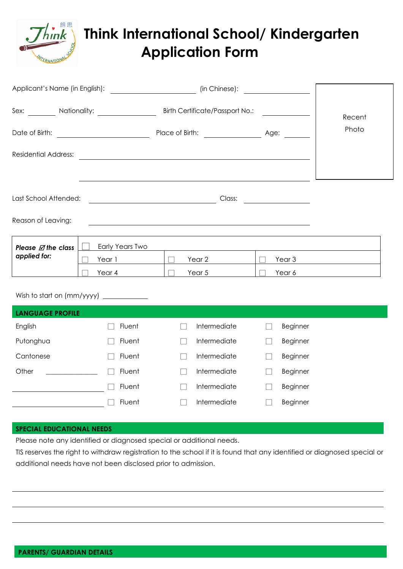

## **Think International School/ Kindergarten Application Form**

|                                                |                                     | (in Chinese):                                                                                                         | <u> 1990 - Jan Barbara III, prima posta</u> |        |
|------------------------------------------------|-------------------------------------|-----------------------------------------------------------------------------------------------------------------------|---------------------------------------------|--------|
|                                                |                                     | Sex: _________ Nationality: _________________ Birth Certificate/Passport No.: ________                                |                                             | Recent |
|                                                |                                     |                                                                                                                       |                                             | Photo  |
| <b>Residential Address:</b>                    |                                     |                                                                                                                       |                                             |        |
| Last School Attended:<br>Reason of Leaving:    |                                     | <u> 1989 - Johann Stoff, deutscher Stoff, der Stoff, der Stoff, der Stoff, der Stoff, der Stoff, der Stoff, der S</u> |                                             |        |
| Please $\varnothing$ the class<br>applied for: | Early Years Two<br>Year 1<br>Year 4 | Year 2<br>Year 5                                                                                                      | Year <sub>3</sub><br>Year 6                 |        |
|                                                |                                     |                                                                                                                       |                                             |        |

| <b>LANGUAGE PROFILE</b> |        |              |                 |
|-------------------------|--------|--------------|-----------------|
| English                 | Fluent | Intermediate | <b>Beginner</b> |
| Putonghua               | Fluent | Intermediate | Beginner        |
| Cantonese               | Fluent | Intermediate | Beginner        |
| Other                   | Fluent | Intermediate | Beginner        |
|                         | Fluent | Intermediate | Beginner        |
|                         | Fluent | Intermediate | Beginner        |
|                         |        |              |                 |

## **SPECIAL EDUCATIONAL NEEDS**

Please note any identified or diagnosed special or additional needs.

TIS reserves the right to withdraw registration to the school if it is found that any identified or diagnosed special or additional needs have not been disclosed prior to admission.